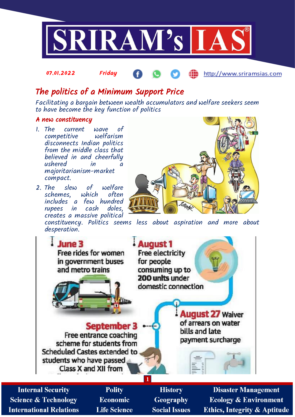

#### 07.01.2022 Friday http://www.sriramsias.com

# The politics of a Minimum Support Price

Facilitating a bargain between wealth accumulators and welfare seekers seem to have become the key function of politics

# A new constituency

- 1. The current wave of competitive disconnects Indian politics from the middle class that believed in and cheerfully<br>ushered in a ushered majoritarianism-market compact.
- 2. The slew of welfare<br>schemes, which often schemes, includes a few hundred rupees in cash creates a massive political

constituency. Politics seems less about aspiration and more about desperation.



**Internal Security Science & Technology International Relations** 

**Polity Economic Life Science** 

**History Geography Social Issues** 

**Disaster Management Ecology & Environment Ethics, Integrity & Aptitude**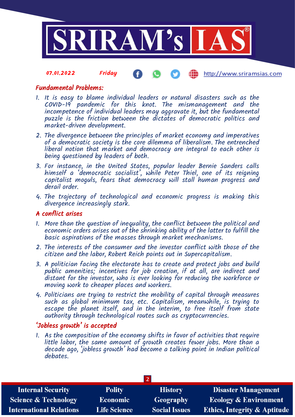

#### 07.01.2022 Friday http://www.sriramsias.com

# Fundamental Problems:

- 1. It is easy to blame individual leaders or natural disasters such as the COVID-19 pandemic for this knot. The mismanagement and the incompetence of individual leaders may aggravate it, but the fundamental puzzle is the friction between the dictates of democratic politics and market-driven development.
- 2. The divergence between the principles of market economy and imperatives of a democratic society is the core dilemma of liberalism. The entrenched liberal notion that market and democracy are integral to each other is being questioned by leaders of both.
- 3. For instance, in the United States, popular leader Bernie Sanders calls himself a 'democratic socialist', while Peter Thiel, one of its reigning capitalist moguls, fears that democracy will stall human progress and derail order.
- 4. The trajectory of technological and economic progress is making this divergence increasingly stark.

# A conflict arises

- 1. More than the question of inequality, the conflict between the political and economic orders arises out of the shrinking ability of the latter to fulfill the basic aspirations of the masses through market mechanisms.
- 2. The interests of the consumer and the investor conflict with those of the citizen and the labor, Robert Reich points out in Supercapitalism.
- 3. A politician facing the electorate has to create and protect jobs and build public amenities; incentives for job creation, if at all, are indirect and distant for the investor, who is ever looking for reducing the workforce or moving work to cheaper places and workers.
- 4. Politicians are trying to restrict the mobility of capital through measures such as global minimum tax, etc. Capitalism, meanwhile, is trying to escape the planet itself, and in the interim, to free itself from state authority through technological routes such as cryptocurrencies.

# 'Jobless growth' is accepted

1. As the composition of the economy shifts in favor of activities that require little labor, the same amount of growth creates fewer jobs. More than a decade ago, 'jobless growth' had become a talking point in Indian political debates.

| <b>Polity</b>       | <b>History</b>       | <b>Disaster Management</b>              |  |  |  |
|---------------------|----------------------|-----------------------------------------|--|--|--|
| <b>Economic</b>     | Geography            | <b>Ecology &amp; Environment</b>        |  |  |  |
| <b>Life Science</b> | <b>Social Issues</b> | <b>Ethics, Integrity &amp; Aptitude</b> |  |  |  |
|                     |                      |                                         |  |  |  |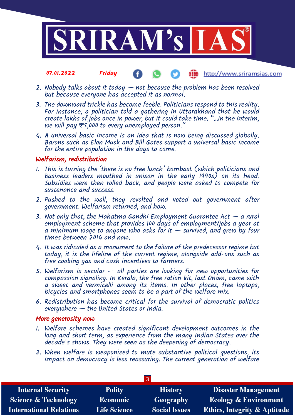

#### 07.01.2022 Friday http://www.sriramsias.com Œ

- 2. Nobody talks about it today not because the problem has been resolved but because everyone has accepted it as normal.
- 3. The downward trickle has become feeble. Politicians respond to this reality. For instance, a politician told a gathering in Uttarakhand that he would create lakhs of jobs once in power, but it could take time. "…in the interim, we will pay  $\overline{\tau}$ 5,000 to every unemployed person."
- 4. A universal basic income is an idea that is now being discussed globally. Barons such as Elon Musk and Bill Gates support a universal basic income for the entire population in the days to come.

# Welfarism, redistribution

- 1. This is turning the 'there is no free lunch' bombast (which politicians and business leaders mouthed in unison in the early 1990s) on its head. Subsidies were then rolled back, and people were asked to compete for sustenance and success.
- 2. Pushed to the wall, they revolted and voted out government after government. Welfarism returned, and how.
- 3. Not only that, the Mahatma Gandhi Employment Guarantee Act  $-$  a rural employment scheme that provides 100 days of employment/jobs a year at a minimum wage to anyone who asks for it  $-$  survived, and grew by four times between 2014 and now.
- 4. It was ridiculed as a monument to the failure of the predecessor regime but today, it is the lifeline of the current regime, alongside add-ons such as free cooking gas and cash incentives to farmers.
- 5. Welfarism is secular all parties are looking for new opportunities for compassion signaling. In Kerala, the free ration kit, last Onam, came with a sweet and vermicelli among its items. In other places, free laptops, bicycles and smartphones seem to be a part of the welfare mix.
- 6. Redistribution has become critical for the survival of democratic politics everywhere — the United States or India.

#### More generosity now

- 1. Welfare schemes have created significant development outcomes in the long and short term, as experience from the many Indian States over the decade's shows. They were seen as the deepening of democracy.
- 2. When welfare is weaponized to mute substantive political questions, its impact on democracy is less reassuring. The current generation of welfare

| <b>Internal Security</b>        | <b>Polity</b>       | <b>History</b>       | <b>Disaster Management</b>              |  |  |
|---------------------------------|---------------------|----------------------|-----------------------------------------|--|--|
| <b>Science &amp; Technology</b> | <b>Economic</b>     | Geography            | <b>Ecology &amp; Environment</b>        |  |  |
| <b>International Relations</b>  | <b>Life Science</b> | <b>Social Issues</b> | <b>Ethics, Integrity &amp; Aptitude</b> |  |  |